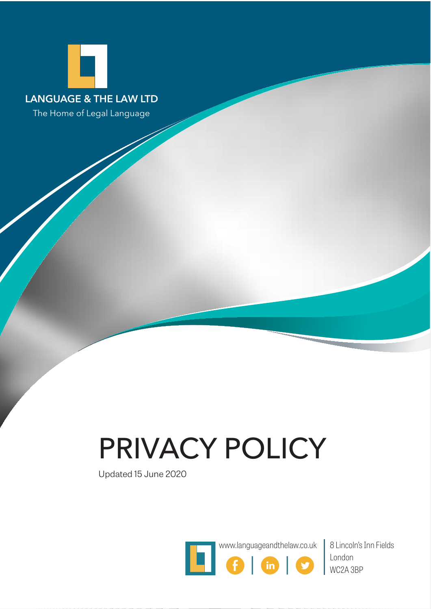

The Home of Legal Language

# PRIVACY POLICY

Updated 15 June 2020



www.languageandthelaw.co.uk 8 Lincoln's Inn Fields London WC2A 3BP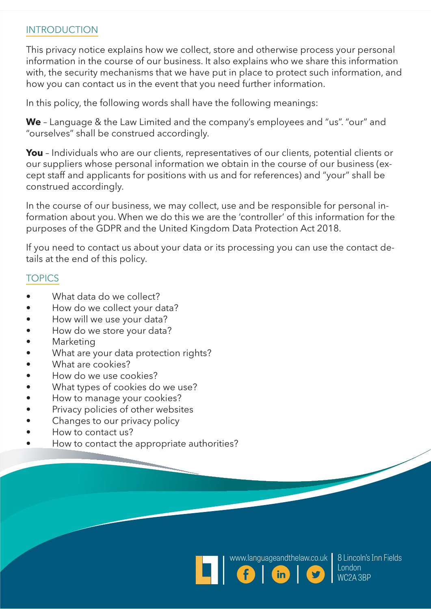## INTRODUCTION

This privacy notice explains how we collect, store and otherwise process your personal information in the course of our business. It also explains who we share this information with, the security mechanisms that we have put in place to protect such information, and how you can contact us in the event that you need further information.

In this policy, the following words shall have the following meanings:

**We** – Language & the Law Limited and the company's employees and "us". "our" and "ourselves" shall be construed accordingly.

**You** – Individuals who are our clients, representatives of our clients, potential clients or our suppliers whose personal information we obtain in the course of our business (except staff and applicants for positions with us and for references) and "your" shall be construed accordingly.

In the course of our business, we may collect, use and be responsible for personal information about you. When we do this we are the 'controller' of this information for the purposes of the GDPR and the United Kingdom Data Protection Act 2018.

If you need to contact us about your data or its processing you can use the contact details at the end of this policy.

## **TOPICS**

- What data do we collect?
- How do we collect your data?
- How will we use your data?
- How do we store your data?
- **Marketing**
- What are your data protection rights?
- What are cookies?
- How do we use cookies?
- What types of cookies do we use?
- How to manage your cookies?
- Privacy policies of other websites
- Changes to our privacy policy
- How to contact us?
- How to contact the appropriate authorities?





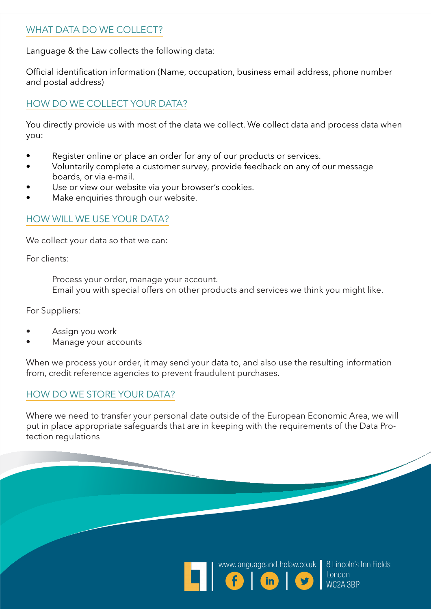## WHAT DATA DO WE COLLECT?

Language & the Law collects the following data:

Official identification information (Name, occupation, business email address, phone number and postal address)

## HOW DO WE COLLECT YOUR DATA?

You directly provide us with most of the data we collect. We collect data and process data when you:

- Register online or place an order for any of our products or services.
- Voluntarily complete a customer survey, provide feedback on any of our message boards, or via e-mail.
- Use or view our website via your browser's cookies.
- Make enquiries through our website.

### HOW WILL WE USE YOUR DATA?

We collect your data so that we can:

For clients:

Process your order, manage your account. Email you with special offers on other products and services we think you might like.

For Suppliers:

- Assign you work
- Manage your accounts

When we process your order, it may send your data to, and also use the resulting information from, credit reference agencies to prevent fraudulent purchases.

## HOW DO WE STORE YOUR DATA?

Where we need to transfer your personal date outside of the European Economic Area, we will put in place appropriate safeguards that are in keeping with the requirements of the Data Protection regulations





8 Lincoln's Inn Fields London WC2A 3BP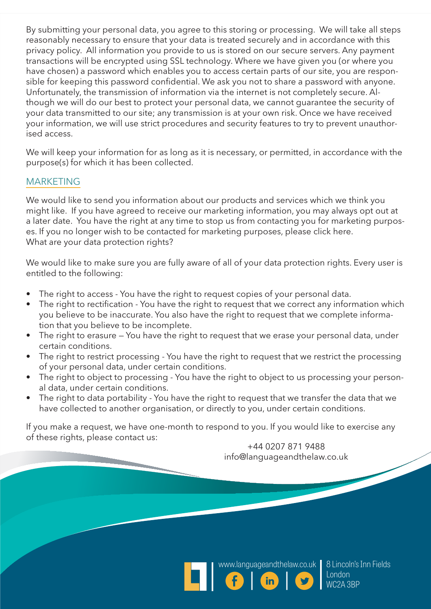By submitting your personal data, you agree to this storing or processing. We will take all steps reasonably necessary to ensure that your data is treated securely and in accordance with this privacy policy. All information you provide to us is stored on our secure servers. Any payment transactions will be encrypted using SSL technology. Where we have given you (or where you have chosen) a password which enables you to access certain parts of our site, you are responsible for keeping this password confidential. We ask you not to share a password with anyone. Unfortunately, the transmission of information via the internet is not completely secure. Although we will do our best to protect your personal data, we cannot guarantee the security of your data transmitted to our site; any transmission is at your own risk. Once we have received your information, we will use strict procedures and security features to try to prevent unauthorised access.

We will keep your information for as long as it is necessary, or permitted, in accordance with the purpose(s) for which it has been collected.

#### MARKETING

We would like to send you information about our products and services which we think you might like. If you have agreed to receive our marketing information, you may always opt out at a later date. You have the right at any time to stop us from contacting you for marketing purposes. If you no longer wish to be contacted for marketing purposes, please click here. What are your data protection rights?

We would like to make sure you are fully aware of all of your data protection rights. Every user is entitled to the following:

- The right to access You have the right to request copies of your personal data.
- The right to rectification You have the right to request that we correct any information which you believe to be inaccurate. You also have the right to request that we complete information that you believe to be incomplete.
- The right to erasure You have the right to request that we erase your personal data, under certain conditions.
- The right to restrict processing You have the right to request that we restrict the processing of your personal data, under certain conditions.
- The right to object to processing You have the right to object to us processing your personal data, under certain conditions.
- The right to data portability You have the right to request that we transfer the data that we have collected to another organisation, or directly to you, under certain conditions.

If you make a request, we have one-month to respond to you. If you would like to exercise any of these rights, please contact us:

+44 0207 871 9488 info@languageandthelaw.co.uk